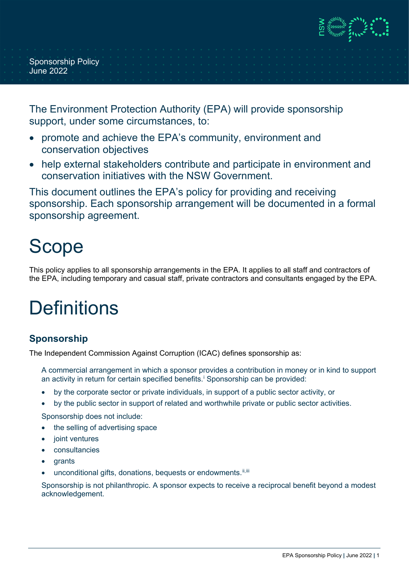**DE ANNIVERSITY** 

Sponsorship Policy June 2022

The Environment Protection Authority (EPA) will provide sponsorship support, under some circumstances, to:

- promote and achieve the EPA's community, environment and conservation objectives
- help external stakeholders contribute and participate in environment and conservation initiatives with the NSW Government.

This document outlines the EPA's policy for providing and receiving sponsorship. Each sponsorship arrangement will be documented in a formal sponsorship agreement.

# Scope

This policy applies to all sponsorship arrangements in the EPA. It applies to all staff and contractors of the EPA, including temporary and casual staff, private contractors and consultants engaged by the EPA.

# **Definitions**

## **Sponsorship**

The Independent Commission Against Corruption (ICAC) defines sponsorship as:

A commercial arrangement in which a sponsor provides a contribution in money or in kind to support an act[i](#page-3-0)vity in return for certain specified benefits.<sup>i</sup> Sponsorship can be provided:

- by the corporate sector or private individuals, in support of a public sector activity, or
- by the public sector in support of related and worthwhile private or public sector activities.

Sponsorship does not include:

- the selling of advertising space
- joint ventures
- **consultancies**
- **grants**
- unconditional gifts, donations, bequests or endowments. [ii](#page-3-1), [iii](#page-3-2)

Sponsorship is not philanthropic. A sponsor expects to receive a reciprocal benefit beyond a modest acknowledgement.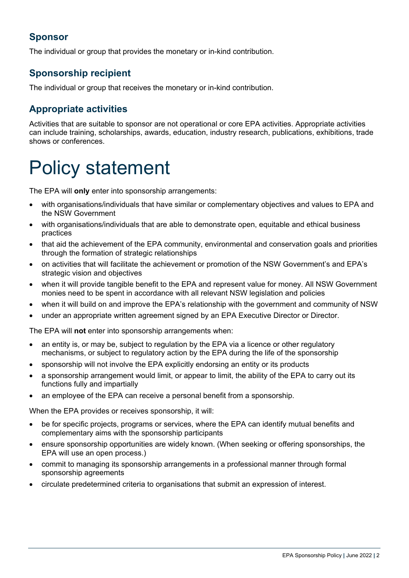## **Sponsor**

The individual or group that provides the monetary or in-kind contribution.

#### **Sponsorship recipient**

The individual or group that receives the monetary or in-kind contribution.

## **Appropriate activities**

Activities that are suitable to sponsor are not operational or core EPA activities. Appropriate activities can include training, scholarships, awards, education, industry research, publications, exhibitions, trade shows or conferences.

# Policy statement

The EPA will **only** enter into sponsorship arrangements:

- with organisations/individuals that have similar or complementary objectives and values to EPA and the NSW Government
- with organisations/individuals that are able to demonstrate open, equitable and ethical business practices
- that aid the achievement of the EPA community, environmental and conservation goals and priorities through the formation of strategic relationships
- on activities that will facilitate the achievement or promotion of the NSW Government's and EPA's strategic vision and objectives
- when it will provide tangible benefit to the EPA and represent value for money. All NSW Government monies need to be spent in accordance with all relevant NSW legislation and policies
- when it will build on and improve the EPA's relationship with the government and community of NSW
- under an appropriate written agreement signed by an EPA Executive Director or Director.

The EPA will **not** enter into sponsorship arrangements when:

- an entity is, or may be, subject to regulation by the EPA via a licence or other regulatory mechanisms, or subject to regulatory action by the EPA during the life of the sponsorship
- sponsorship will not involve the EPA explicitly endorsing an entity or its products
- a sponsorship arrangement would limit, or appear to limit, the ability of the EPA to carry out its functions fully and impartially
- an employee of the EPA can receive a personal benefit from a sponsorship.

When the EPA provides or receives sponsorship, it will:

- be for specific projects, programs or services, where the EPA can identify mutual benefits and complementary aims with the sponsorship participants
- ensure sponsorship opportunities are widely known. (When seeking or offering sponsorships, the EPA will use an open process.)
- commit to managing its sponsorship arrangements in a professional manner through formal sponsorship agreements
- circulate predetermined criteria to organisations that submit an expression of interest.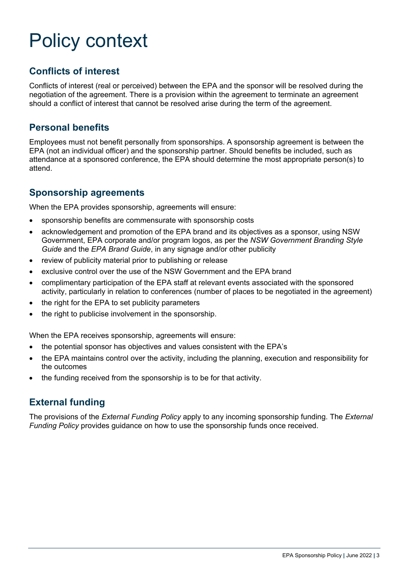# Policy context

### **Conflicts of interest**

Conflicts of interest (real or perceived) between the EPA and the sponsor will be resolved during the negotiation of the agreement. There is a provision within the agreement to terminate an agreement should a conflict of interest that cannot be resolved arise during the term of the agreement.

#### **Personal benefits**

Employees must not benefit personally from sponsorships. A sponsorship agreement is between the EPA (not an individual officer) and the sponsorship partner. Should benefits be included, such as attendance at a sponsored conference, the EPA should determine the most appropriate person(s) to attend.

#### **Sponsorship agreements**

When the EPA provides sponsorship, agreements will ensure:

- sponsorship benefits are commensurate with sponsorship costs
- acknowledgement and promotion of the EPA brand and its objectives as a sponsor, using NSW Government, EPA corporate and/or program logos, as per the *NSW Government Branding Style Guide* and the *EPA Brand Guide*, in any signage and/or other publicity
- review of publicity material prior to publishing or release
- exclusive control over the use of the NSW Government and the EPA brand
- complimentary participation of the EPA staff at relevant events associated with the sponsored activity, particularly in relation to conferences (number of places to be negotiated in the agreement)
- the right for the EPA to set publicity parameters
- the right to publicise involvement in the sponsorship.

When the EPA receives sponsorship, agreements will ensure:

- the potential sponsor has objectives and values consistent with the EPA's
- the EPA maintains control over the activity, including the planning, execution and responsibility for the outcomes
- the funding received from the sponsorship is to be for that activity.

## **External funding**

The provisions of the *External Funding Policy* apply to any incoming sponsorship funding. The *External Funding Policy* provides guidance on how to use the sponsorship funds once received.